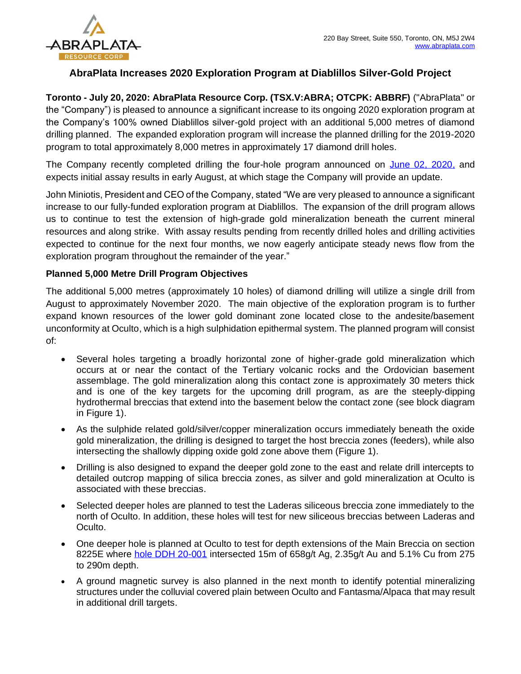

# **AbraPlata Increases 2020 Exploration Program at Diablillos Silver-Gold Project**

**Toronto - July 20, 2020: AbraPlata Resource Corp. (TSX.V:ABRA; OTCPK: ABBRF)** ("AbraPlata" or the "Company") is pleased to announce a significant increase to its ongoing 2020 exploration program at the Company's 100% owned Diablillos silver-gold project with an additional 5,000 metres of diamond drilling planned. The expanded exploration program will increase the planned drilling for the 2019-2020 program to total approximately 8,000 metres in approximately 17 diamond drill holes.

The Company recently completed drilling the four-hole program announced on [June 02, 2020,](https://abraplata.com/news-releases/abraplata-commences-drilling-at-diablillos-silver-gold-project-20200602) and expects initial assay results in early August, at which stage the Company will provide an update.

John Miniotis, President and CEO of the Company, stated "We are very pleased to announce a significant increase to our fully-funded exploration program at Diablillos. The expansion of the drill program allows us to continue to test the extension of high-grade gold mineralization beneath the current mineral resources and along strike. With assay results pending from recently drilled holes and drilling activities expected to continue for the next four months, we now eagerly anticipate steady news flow from the exploration program throughout the remainder of the year."

## **Planned 5,000 Metre Drill Program Objectives**

The additional 5,000 metres (approximately 10 holes) of diamond drilling will utilize a single drill from August to approximately November 2020. The main objective of the exploration program is to further expand known resources of the lower gold dominant zone located close to the andesite/basement unconformity at Oculto, which is a high sulphidation epithermal system. The planned program will consist of:

- Several holes targeting a broadly horizontal zone of higher-grade gold mineralization which occurs at or near the contact of the Tertiary volcanic rocks and the Ordovician basement assemblage. The gold mineralization along this contact zone is approximately 30 meters thick and is one of the key targets for the upcoming drill program, as are the steeply-dipping hydrothermal breccias that extend into the basement below the contact zone (see block diagram in Figure 1).
- As the sulphide related gold/silver/copper mineralization occurs immediately beneath the oxide gold mineralization, the drilling is designed to target the host breccia zones (feeders), while also intersecting the shallowly dipping oxide gold zone above them (Figure 1).
- Drilling is also designed to expand the deeper gold zone to the east and relate drill intercepts to detailed outcrop mapping of silica breccia zones, as silver and gold mineralization at Oculto is associated with these breccias.
- Selected deeper holes are planned to test the Laderas siliceous breccia zone immediately to the north of Oculto. In addition, these holes will test for new siliceous breccias between Laderas and Oculto.
- One deeper hole is planned at Oculto to test for depth extensions of the Main Breccia on section 8225E where [hole DDH 20-001](https://abraplata.com/news-releases/abraplata-intercepts-14-metres-of-640-gt-gold--197-gt-silver-and-identifies-high-grade-copper-zone-with-intercept-of-15-metres-of-51-copper-235-gt-gold--658-gt-silver) intersected 15m of 658g/t Ag, 2.35g/t Au and 5.1% Cu from 275 to 290m depth.
- A ground magnetic survey is also planned in the next month to identify potential mineralizing structures under the colluvial covered plain between Oculto and Fantasma/Alpaca that may result in additional drill targets.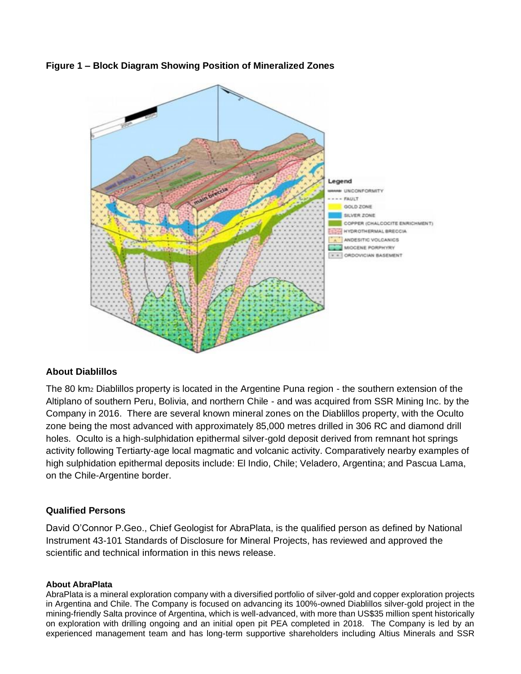



## **About Diablillos**

The 80 km<sup>2</sup> Diablillos property is located in the Argentine Puna region - the southern extension of the Altiplano of southern Peru, Bolivia, and northern Chile - and was acquired from SSR Mining Inc. by the Company in 2016. There are several known mineral zones on the Diablillos property, with the Oculto zone being the most advanced with approximately 85,000 metres drilled in 306 RC and diamond drill holes. Oculto is a high-sulphidation epithermal silver-gold deposit derived from remnant hot springs activity following Tertiarty-age local magmatic and volcanic activity. Comparatively nearby examples of high sulphidation epithermal deposits include: El Indio, Chile; Veladero, Argentina; and Pascua Lama, on the Chile-Argentine border.

## **Qualified Persons**

David O'Connor P.Geo., Chief Geologist for AbraPlata, is the qualified person as defined by National Instrument 43-101 Standards of Disclosure for Mineral Projects, has reviewed and approved the scientific and technical information in this news release.

#### **About AbraPlata**

AbraPlata is a mineral exploration company with a diversified portfolio of silver-gold and copper exploration projects in Argentina and Chile. The Company is focused on advancing its 100%-owned Diablillos silver-gold project in the mining-friendly Salta province of Argentina, which is well-advanced, with more than US\$35 million spent historically on exploration with drilling ongoing and an initial open pit PEA completed in 2018. The Company is led by an experienced management team and has long-term supportive shareholders including Altius Minerals and SSR